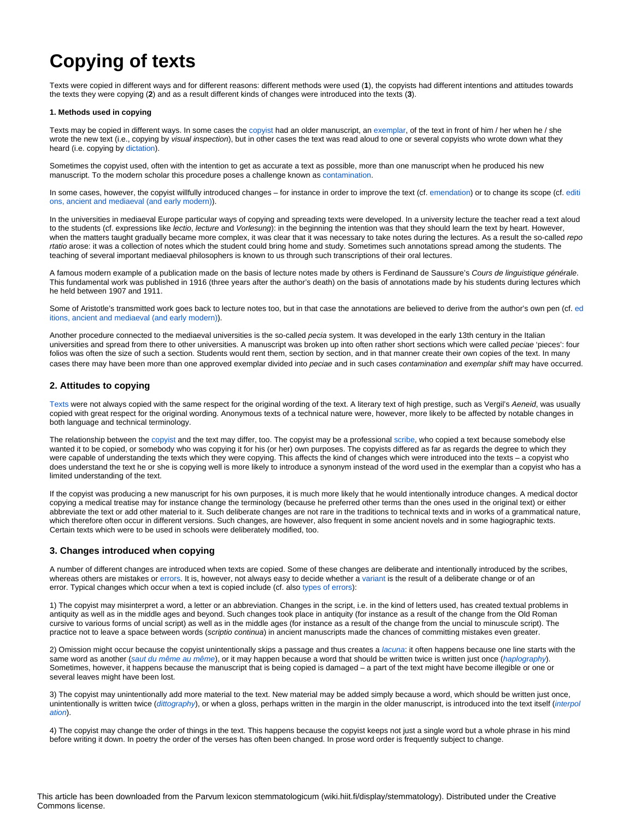# **Copying of texts**

Texts were copied in different ways and for different reasons: different methods were used (**1**), the copyists had different intentions and attitudes towards the texts they were copying (**2**) and as a result different kinds of changes were introduced into the texts (**3**).

### **1. Methods used in copying**

Texts may be copied in different ways. In some cases the [copyist](https://wiki.helsinki.fi/display/stemmatology/Copyist) had an older manuscript, an [exemplar,](https://wiki.helsinki.fi/display/stemmatology/Exemplar) of the text in front of him / her when he / she wrote the new text (i.e., copying by visual inspection), but in other cases the text was read aloud to one or several copyists who wrote down what they heard (i.e. copying by [dictation\)](https://wiki.helsinki.fi/display/stemmatology/Dictation).

Sometimes the copyist used, often with the intention to get as accurate a text as possible, more than one manuscript when he produced his new manuscript. To the modern scholar this procedure poses a challenge known as [contamination.](https://wiki.helsinki.fi/display/stemmatology/Contamination)

In some cases, however, the copyist willfully introduced changes – for instance in order to improve the text (cf. [emendation](https://wiki.helsinki.fi/display/stemmatology/Emendatio)) or to change its scope (cf. [editi](https://wiki.helsinki.fi/display/stemmatology/Editions%2C+history+of) [ons, ancient and mediaeval \(and early modern\)\)](https://wiki.helsinki.fi/display/stemmatology/Editions%2C+history+of).

In the universities in mediaeval Europe particular ways of copying and spreading texts were developed. In a university lecture the teacher read a text aloud to the students (cf. expressions like lectio, lecture and Vorlesung): in the beginning the intention was that they should learn the text by heart. However, when the matters taught gradually became more complex, it was clear that it was necessary to take notes during the lectures. As a result the so-called repo rtatio arose: it was a collection of notes which the student could bring home and study. Sometimes such annotations spread among the students. The teaching of several important mediaeval philosophers is known to us through such transcriptions of their oral lectures.

A famous modern example of a publication made on the basis of lecture notes made by others is Ferdinand de Saussure's Cours de linguistique générale. This fundamental work was published in 1916 (three years after the author's death) on the basis of annotations made by his students during lectures which he held between 1907 and 1911.

Some of Aristotle's transmitted work goes back to lecture notes too, but in that case the annotations are believed to derive from the author's own pen (cf. [ed](https://wiki.helsinki.fi/display/stemmatology/Editions%2C+history+of) [itions, ancient and mediaeval \(and early modern\)](https://wiki.helsinki.fi/display/stemmatology/Editions%2C+history+of)).

Another procedure connected to the mediaeval universities is the so-called pecia system. It was developed in the early 13th century in the Italian universities and spread from there to other universities. A manuscript was broken up into often rather short sections which were called peciae 'pieces': four folios was often the size of such a section. Students would rent them, section by section, and in that manner create their own copies of the text. In many cases there may have been more than one approved exemplar divided into peciae and in such cases contamination and exemplar shift may have occurred.

## **2. Attitudes to copying**

[Texts](https://wiki.helsinki.fi/display/stemmatology/Text) were not always copied with the same respect for the original wording of the text. A literary text of high prestige, such as Vergil's Aeneid, was usually copied with great respect for the original wording. Anonymous texts of a technical nature were, however, more likely to be affected by notable changes in both language and technical terminology.

The relationship between the [copyist](https://wiki.helsinki.fi/display/stemmatology/Copyist) and the text may differ, too. The copyist may be a professional [scribe,](https://wiki.helsinki.fi/display/stemmatology/Scribe) who copied a text because somebody else wanted it to be copied, or somebody who was copying it for his (or her) own purposes. The copyists differed as far as regards the degree to which they were capable of understanding the texts which they were copying. This affects the kind of changes which were introduced into the texts – a copyist who does understand the text he or she is copying well is more likely to introduce a synonym instead of the word used in the exemplar than a copyist who has a limited understanding of the text.

If the copyist was producing a new manuscript for his own purposes, it is much more likely that he would intentionally introduce changes. A medical doctor copying a medical treatise may for instance change the terminology (because he preferred other terms than the ones used in the original text) or either abbreviate the text or add other material to it. Such deliberate changes are not rare in the traditions to technical texts and in works of a grammatical nature, which therefore often occur in different versions. Such changes, are however, also frequent in some ancient novels and in some hagiographic texts. Certain texts which were to be used in schools were deliberately modified, too.

## **3. Changes introduced when copying**

A number of different changes are introduced when texts are copied. Some of these changes are deliberate and intentionally introduced by the scribes, whereas others are mistakes or [errors](https://wiki.helsinki.fi/display/stemmatology/Error). It is, however, not always easy to decide whether a [variant](https://wiki.helsinki.fi/display/stemmatology/Reading%2C+variant) is the result of a deliberate change or of an error. Typical changes which occur when a text is copied include (cf. also [types of errors](https://wiki.helsinki.fi/display/stemmatology/Error%2C+types+of)):

1) The copyist may misinterpret a word, a letter or an abbreviation. Changes in the script, i.e. in the kind of letters used, has created textual problems in antiquity as well as in the middle ages and beyond. Such changes took place in antiquity (for instance as a result of the change from the Old Roman cursive to various forms of uncial script) as well as in the middle ages (for instance as a result of the change from the uncial to minuscule script). The practice not to leave a space between words (scriptio continua) in ancient manuscripts made the chances of committing mistakes even greater.

2) Omission might occur because the copyist unintentionally skips a passage and thus creates a [lacuna](https://wiki.helsinki.fi/display/stemmatology/Lacuna): it often happens because one line starts with the same word as another ([saut du même au même](https://wiki.helsinki.fi/pages/viewpage.action?pageId=229150138)), or it may happen because a word that should be written twice is written just once ([haplography](https://wiki.helsinki.fi/display/stemmatology/Haplography)). Sometimes, however, it happens because the manuscript that is being copied is damaged – a part of the text might have become illegible or one or several leaves might have been lost.

3) The copyist may unintentionally add more material to the text. New material may be added simply because a word, which should be written just once, unintentionally is written twice ([dittography](https://wiki.helsinki.fi/display/stemmatology/Dittography)), or when a gloss, perhaps written in the margin in the older manuscript, is introduced into the text itself ([interpol](https://wiki.helsinki.fi/display/stemmatology/Interpolation) [ation](https://wiki.helsinki.fi/display/stemmatology/Interpolation)).

4) The copyist may change the order of things in the text. This happens because the copyist keeps not just a single word but a whole phrase in his mind before writing it down. In poetry the order of the verses has often been changed. In prose word order is frequently subject to change.